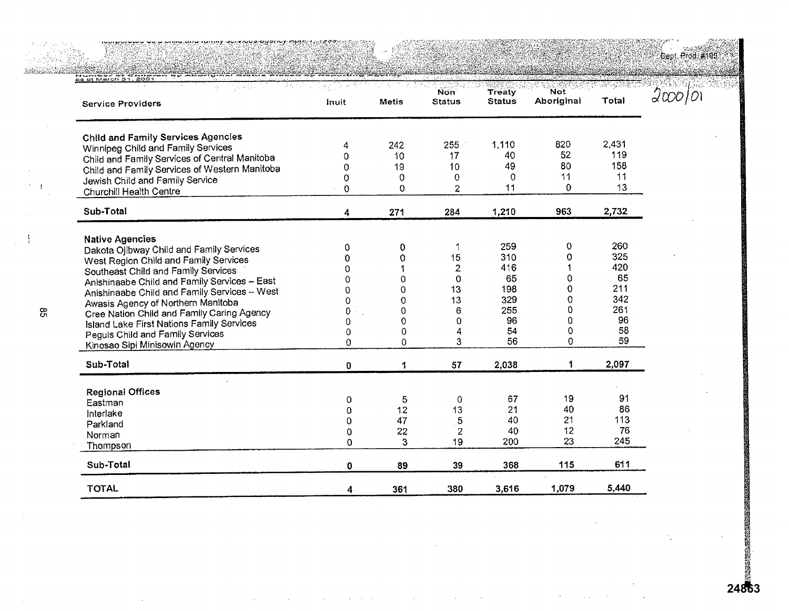.<br>Dept. Prod. #195.

| <b>Service Providers</b>                         | Inuit    | <b>Metis</b> | Non <sup>1</sup><br><b>Status</b> | <b>Treaty</b><br><b>Status</b> | <b>Not</b><br>Aboriginal | Total |
|--------------------------------------------------|----------|--------------|-----------------------------------|--------------------------------|--------------------------|-------|
| <b>Child and Family Services Agencies</b>        |          |              |                                   |                                |                          |       |
| Winnipeg Child and Family Services               | 4        | 242          | 255                               | 1,110                          | 820                      | 2,431 |
| Child and Family Services of Central Manitoba    | 0        | 10           | 17                                | 40                             | 52                       | 119   |
| Child and Family Services of Western Manitoba    | 0        | 19           | 10                                | 49                             | 80                       | 158   |
| Jewish Child and Family Service                  | 0        | 0            | $\mathbf 0$                       | 0                              | 11                       | 11    |
| Churchill Health Centre                          | $\Omega$ | 0            | $\overline{c}$                    | 11                             | 0                        | 13    |
| Sub-Total                                        | 4        | 271          | 284                               | 1,210                          | 963                      | 2,732 |
| <b>Native Agencies</b>                           |          |              |                                   |                                |                          |       |
| Dakota Ojibway Child and Family Services         | 0        | 0            |                                   | 259                            | 0                        | 260   |
| West Region Child and Family Services            | o        | 0            | 15                                | 310                            | 0                        | 325   |
| Southeast Child and Family Services              | 0        |              | 2                                 | 416                            |                          | 420   |
| Anishinaabe Child and Family Services - East     |          | 0            | 0                                 | 65                             | 0                        | 65    |
| Anishinaabe Child and Family Services - West     | ი        | 0            | 13                                | 198                            | O                        | 211   |
| Awasis Agency of Northern Manitoba               | U        | 0            | 13                                | 329                            | 0                        | 342   |
| Cree Nation Child and Family Caring Agency       | 0        | 0            | 6                                 | 255                            | 0                        | 261   |
| <b>Island Lake First Nations Family Services</b> | 0        | 0            | $\Omega$                          | 96                             | 0                        | 96    |
| Peguls Child and Family Services                 | 0        | 0            |                                   | 54                             | 0                        | 58    |
| Kinosao Sipi Minisowin Agency                    | 0        | 0            | 3                                 | 56                             | 0                        | 59    |
| Sub-Total                                        | 0        | 1            | 57                                | 2,038                          | 1                        | 2,097 |
| <b>Regional Offices</b>                          |          |              |                                   |                                |                          |       |
| Eastman                                          | 0        | 5            | 0                                 | 67                             | 19                       | 91    |
| Interlake                                        | 0        | 12           | 13                                | 21                             | 40                       | 86    |
| Parkland                                         | $\Omega$ | 47           | 5                                 | 40                             | 21                       | 113   |
| Norman                                           | 0        | 22           | $\mathbf{2}$                      | 40                             | 12                       | 76    |
| Thompson                                         | 0        | 3            | 19                                | 200                            | 23                       | 245   |
| Sub-Total                                        | 0        | 89           | 39                                | 368                            | 115                      | 611   |
| <b>TOTAL</b>                                     | 4        | 361          | 380                               | 3,616                          | 1,079                    | 5,440 |

**24863**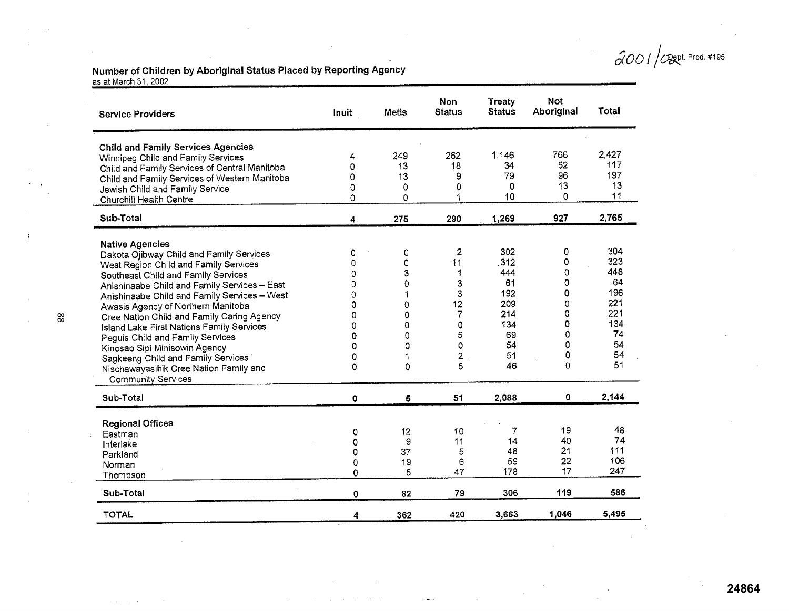00 *I* / *C* Dept. Prod. #195

**Number of Children by Aboriginal Status Placed by Reporting** Agency <u>as at March 31, 2002.</u>

| Inuit | <b>Metis</b>                                        | <b>Non</b><br><b>Status</b>                                                                                  | <b>Treaty</b><br><b>Status</b>                                                                                                                             | <b>Not</b><br>Aboriginal                                                                                                                  | Total                                                                                                                                        |
|-------|-----------------------------------------------------|--------------------------------------------------------------------------------------------------------------|------------------------------------------------------------------------------------------------------------------------------------------------------------|-------------------------------------------------------------------------------------------------------------------------------------------|----------------------------------------------------------------------------------------------------------------------------------------------|
|       |                                                     |                                                                                                              |                                                                                                                                                            |                                                                                                                                           |                                                                                                                                              |
| 4     |                                                     |                                                                                                              |                                                                                                                                                            |                                                                                                                                           | 2,427                                                                                                                                        |
|       |                                                     |                                                                                                              |                                                                                                                                                            |                                                                                                                                           | 117                                                                                                                                          |
|       |                                                     |                                                                                                              |                                                                                                                                                            |                                                                                                                                           | 197                                                                                                                                          |
|       |                                                     |                                                                                                              |                                                                                                                                                            |                                                                                                                                           | 13                                                                                                                                           |
|       |                                                     |                                                                                                              |                                                                                                                                                            |                                                                                                                                           | 11                                                                                                                                           |
| 4     | 275                                                 | 290                                                                                                          | 1,269                                                                                                                                                      | 927                                                                                                                                       | 2,765                                                                                                                                        |
|       |                                                     |                                                                                                              |                                                                                                                                                            |                                                                                                                                           |                                                                                                                                              |
| 0     | 0                                                   |                                                                                                              |                                                                                                                                                            |                                                                                                                                           | 304                                                                                                                                          |
| 0     |                                                     |                                                                                                              |                                                                                                                                                            |                                                                                                                                           | 323                                                                                                                                          |
| O     |                                                     |                                                                                                              |                                                                                                                                                            |                                                                                                                                           | 448                                                                                                                                          |
|       |                                                     |                                                                                                              |                                                                                                                                                            |                                                                                                                                           | 64                                                                                                                                           |
|       |                                                     |                                                                                                              |                                                                                                                                                            |                                                                                                                                           | 196                                                                                                                                          |
|       |                                                     |                                                                                                              |                                                                                                                                                            |                                                                                                                                           | 221                                                                                                                                          |
|       |                                                     |                                                                                                              |                                                                                                                                                            |                                                                                                                                           | 221                                                                                                                                          |
| 0     |                                                     |                                                                                                              |                                                                                                                                                            |                                                                                                                                           | 134                                                                                                                                          |
| 0     |                                                     |                                                                                                              |                                                                                                                                                            |                                                                                                                                           | 74                                                                                                                                           |
|       |                                                     |                                                                                                              |                                                                                                                                                            |                                                                                                                                           | 54                                                                                                                                           |
|       |                                                     |                                                                                                              |                                                                                                                                                            |                                                                                                                                           | 54                                                                                                                                           |
|       |                                                     |                                                                                                              |                                                                                                                                                            |                                                                                                                                           | 51                                                                                                                                           |
| 0     | 5                                                   | 51                                                                                                           | 2,088                                                                                                                                                      | 0                                                                                                                                         | 2,144                                                                                                                                        |
|       |                                                     |                                                                                                              |                                                                                                                                                            |                                                                                                                                           |                                                                                                                                              |
| 0     |                                                     |                                                                                                              |                                                                                                                                                            |                                                                                                                                           | 48                                                                                                                                           |
| 0     |                                                     |                                                                                                              |                                                                                                                                                            |                                                                                                                                           | 74                                                                                                                                           |
| 0     |                                                     |                                                                                                              |                                                                                                                                                            |                                                                                                                                           | 111                                                                                                                                          |
| 0     |                                                     |                                                                                                              |                                                                                                                                                            |                                                                                                                                           | 106                                                                                                                                          |
| 0     |                                                     |                                                                                                              |                                                                                                                                                            |                                                                                                                                           | 247                                                                                                                                          |
| 0     | 82                                                  | 79                                                                                                           | 306                                                                                                                                                        | 119                                                                                                                                       | 586                                                                                                                                          |
| 4     | 362                                                 | 420                                                                                                          | 3,663                                                                                                                                                      | 1,046                                                                                                                                     | 5,495                                                                                                                                        |
|       | 0<br>0<br>0<br>0<br>0<br>0<br>0<br>0<br>0<br>0<br>0 | 249<br>13<br>13<br>0<br>Ü<br>0<br>3<br>0<br>1<br>0<br>0<br>0<br>0<br>0<br>1<br>0<br>12<br>9<br>37<br>19<br>5 | 262<br>18<br>g<br>0<br>$\overline{2}$<br>11<br>1<br>3<br>3<br>12<br>7<br>0<br>5<br>$\mathbf 0$<br>$\overline{\mathbf{c}}$<br>5<br>10<br>11<br>5<br>6<br>47 | 1,146<br>34<br>79<br>0<br>10<br>302<br>312<br>444<br>61<br>192<br>209<br>214<br>134<br>69<br>54<br>51<br>46<br>7<br>14<br>48<br>59<br>178 | 766<br>52<br>96<br>13<br>$\mathbf 0$<br>0<br>0<br>0<br>0<br>0<br>0<br>0<br>0<br>$\Omega$<br>0<br>0<br>$\Omega$<br>19<br>40<br>21<br>22<br>17 |

 $\ddot{\phantom{a}}$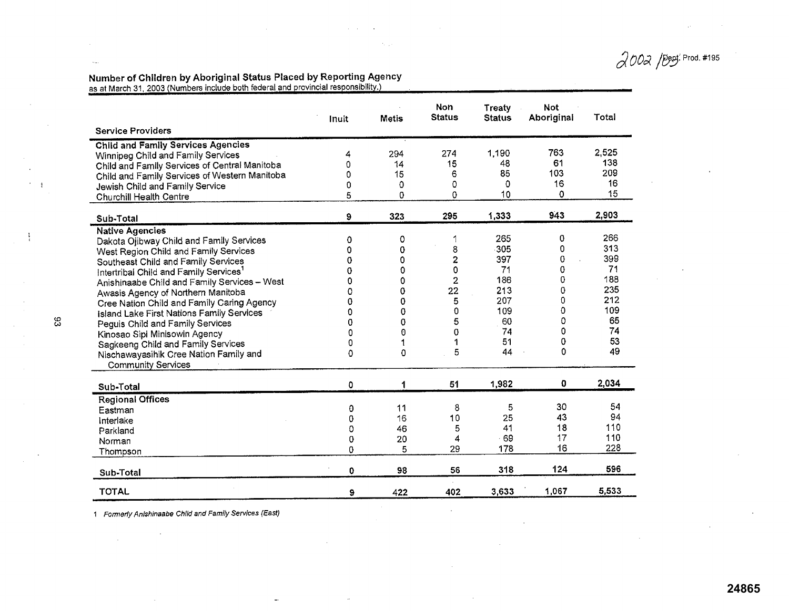*aaa* /!nt. Prod. #195

#### Number of Children by Aboriginal Status Placed by Reporting Agency as at March 31, 2003 (Numbers include both federal and provincial responsibility.)

|                                                  | Inuit       | <b>Metis</b> | Non<br><b>Status</b>    | Treaty<br><b>Status</b> | <b>Not</b><br>Aboriginal | Total |
|--------------------------------------------------|-------------|--------------|-------------------------|-------------------------|--------------------------|-------|
| <b>Service Providers</b>                         |             |              |                         |                         |                          |       |
| <b>Child and Family Services Agencies</b>        |             |              |                         |                         |                          |       |
| Winnipeg Child and Family Services               | 4           | 294          | 274                     | 1,190                   | 763                      | 2,525 |
| Child and Family Services of Central Manitoba    | 0           | 14           | 15                      | 48                      | 61                       | 138   |
| Child and Family Services of Western Manitoba    | 0           | 15           | 6                       | 85                      | 103                      | 209   |
| Jewish Child and Family Service                  | 0           | 0            | 0                       | 0                       | 16                       | 16    |
| <b>Churchill Health Centre</b>                   | 5           | 0            | 0                       | 10                      | $\Omega$                 | 15    |
| Sub-Total                                        | 9           | 323          | 295                     | 1,333                   | 943                      | 2,903 |
| <b>Native Agencies</b>                           |             |              |                         |                         |                          |       |
| Dakota Ojibway Child and Family Services         | 0           | 0            | 1                       | 265                     | 0                        | 266   |
| West Region Child and Family Services            | 0           | 0            | 8                       | 305                     | 0                        | 313   |
| Southeast Child and Family Services              | 0           | 0            | $\overline{\mathbf{c}}$ | 397                     | 0                        | 399   |
| Intertribal Child and Family Services'           | 0           | 0            | 0                       | 71                      | 0                        | 71    |
| Anishinaabe Child and Family Services - West     | $\mathbf 0$ | 0            | $\overline{\mathbf{2}}$ | 186                     | 0                        | 188   |
| Awasis Agency of Northern Manitoba               | 0           | 0            | 22                      | 213                     | 0                        | 235   |
| Cree Nation Child and Family Caring Agency       | 0           | 0            | 5                       | 207                     | 0                        | 212   |
| <b>Island Lake First Nations Family Services</b> | 0           | 0            | 0                       | 109                     | 0                        | 109   |
| Peguis Child and Family Services                 | 0           | 0            | 5                       | 60                      | 0                        | 65    |
| Kinosao Sipi Minisowin Agency                    | 0           | 0            | 0                       | 74                      | $\Omega$                 | 74    |
| Sagkeeng Child and Family Services               | 0           |              | 1                       | 51                      | 0                        | 53    |
| Nischawayasihik Cree Nation Family and           | 0           | 0            | 5                       | 44                      | 0                        | 49    |
| <b>Community Services</b>                        |             |              |                         |                         |                          |       |
| Sub-Total                                        | 0           | 1            | 51                      | 1,982                   | 0                        | 2,034 |
| <b>Regional Offices</b>                          |             |              |                         |                         |                          |       |
| Eastman                                          | 0           | 11           | 8                       | 5                       | 30                       | 54    |
| Interlake                                        | 0           | 16           | 10                      | 25                      | 43                       | 94    |
| Parkland                                         | 0           | 46           | 5                       | 41                      | 18                       | 110   |
| Norman                                           | 0           | 20           | 4                       | $-69$                   | 17                       | 110   |
| Thompson                                         | 0           | 5            | 29                      | 178                     | 16                       | 228   |
| Sub-Total                                        | 0           | 98           | 56                      | 318                     | 124                      | 596   |
| <b>TOTAL</b>                                     | 9           | 422          | 402                     | 3,633                   | 1,067                    | 5.533 |

 $\alpha = 1$  .

*1 Formerly Anishinaabe Child and Family Services (East)* 

 $\alpha$ 

 $\mathcal{L}$ 

 $33$ 

 $\frac{1}{\chi}$ 

 $\sim$ 

### **24865**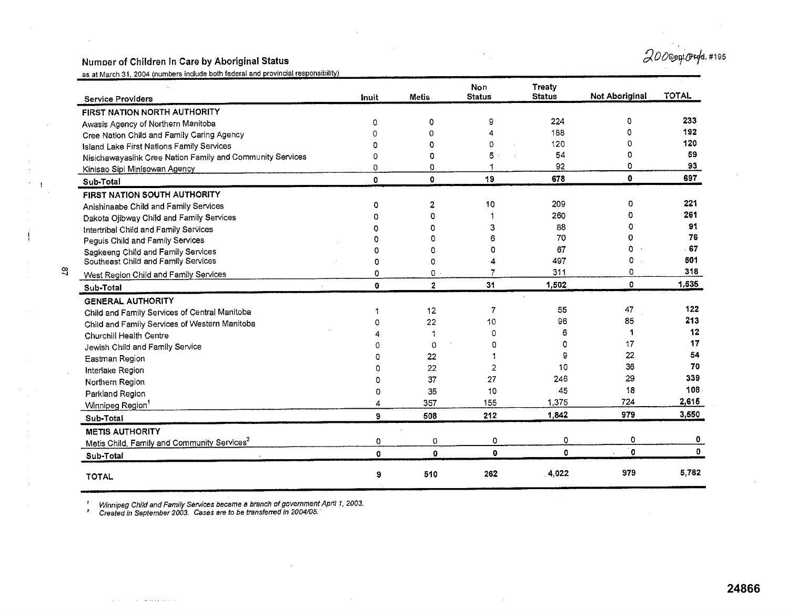# Numoer of Children In Care by Aboriginal Status  $\partial$

as at March 31, 2004 (numbers include both federal and provincial responsibility)

| <b>Service Providers</b>                                  | as at march 31, 2004 (numbers module bold lederal and provincial responsibility<br>Inuit | Metis        | Non<br><b>Status</b> | <b>Treaty</b><br><b>Status</b> | <b>Not Aboriginal</b> | <b>TOTAL</b> |
|-----------------------------------------------------------|------------------------------------------------------------------------------------------|--------------|----------------------|--------------------------------|-----------------------|--------------|
| FIRST NATION NORTH AUTHORITY                              |                                                                                          |              |                      |                                |                       |              |
| Awasis Agency of Northern Manitoba                        | 0                                                                                        | 0            | 9                    | 224                            | 0                     | 233          |
| Cree Nation Child and Family Caring Agency                | $\Omega$                                                                                 | O            |                      | 188                            | D                     | 192          |
| Island Lake First Nations Family Services                 | $\Omega$                                                                                 | Ω            | $\Omega$             | 120                            | $\Omega$              | 120          |
| Nisichawayasihk Cree Nation Family and Community Services | $\Omega$                                                                                 | n            | 5                    | 54                             | 0                     | 59           |
| Kinisao Sipi Minisowan Agency                             | 0                                                                                        | o            |                      | 92                             | 0                     | 93           |
| Sub-Total                                                 | 0                                                                                        | $\Omega$     | 19                   | 678                            | $\mathbf{0}$          | 697          |
| FIRST NATION SOUTH AUTHORITY                              |                                                                                          |              |                      |                                |                       |              |
| Anishinaabe Child and Family Services                     | 0                                                                                        | 2            | 10                   | 209                            | $\Omega$              | 221          |
| Dakota Ojibway Child and Family Services                  |                                                                                          | n            |                      | 260                            | 0                     | 261          |
| Intertribal Child and Family Services                     |                                                                                          |              | 3                    | 88                             | 0                     | 91           |
| Peguis Child and Family Services                          |                                                                                          | O            |                      | 70                             | 0                     | 76           |
| Sagkeeng Child and Family Services                        |                                                                                          | 0            | o                    | 67                             | 0                     | 67           |
| Southeast Child and Family Services                       | 0                                                                                        | 0            |                      | 497                            | 0                     | 501          |
| West Region Child and Family Services                     | 0                                                                                        | 0.           |                      | 311                            | 0                     | 318          |
| Sub-Total                                                 | 0                                                                                        | $\mathbf{2}$ | 31                   | 1,502                          | $\mathbf{0}$          | 1,535        |
| <b>GENERAL AUTHORITY</b>                                  |                                                                                          |              |                      |                                |                       |              |
| Child and Family Services of Central Manitoba             |                                                                                          | 12           | 7                    | 55                             | 47                    | 122          |
| Child and Family Services of Western Manitoba             |                                                                                          | 22           | 10                   | 96                             | 85                    | 213          |
| Churchill Health Centre                                   |                                                                                          | 1            | $\Omega$             | 6                              |                       | 12           |
| Jewish Child and Family Service                           |                                                                                          | $\Omega$     | 0                    | 0                              | 17                    | 17           |
| Eastman Region                                            |                                                                                          | 22           |                      | 9                              | 22                    | 54           |
| Interlake Region                                          |                                                                                          | 22           | 2                    | 10                             | 36                    | 70           |
| Northern Region                                           | n                                                                                        | 37           | 27                   | 246                            | 29                    | 339          |
| Parkland Region                                           | 0                                                                                        | 35           | 10                   | 45                             | 18                    | 108          |
| Winnipeg Region <sup>1</sup>                              | 4                                                                                        | 357          | 155                  | 1,375                          | 724                   | 2,615        |
| Sub-Total                                                 | 9                                                                                        | 508          | 212                  | 1,842                          | 979                   | 3,550        |
| <b>METIS AUTHORITY</b>                                    |                                                                                          |              |                      |                                |                       |              |
| Metis Child, Family and Community Services <sup>2</sup>   | 0                                                                                        | 0            | 0                    | 0                              | 0                     | 0            |
| Sub-Total                                                 | $\mathbf{0}$                                                                             | $\mathbf{a}$ | $\mathbf{0}$         | 0                              | $\mathbf 0$           | $\mathbf{0}$ |
| <b>TOTAL</b>                                              | 9                                                                                        | 510          | 262                  | 4,022                          | 979                   | 5,782        |

*' Winnipeg Child and Family* Services became *a branch of government April 1, 2003.*  ' Created in September 2003. Cases are to be transferred in 2004/05.

 $\Delta$  ,  $\Delta$  ,  $\Delta$  ,  $\Delta$  ,  $\Delta$  , and an order to the  $\Delta$ 

 $\begin{array}{c} 1 \\ 1 \\ 1 \end{array}$ 

 $\frac{1}{2}$ 

 $\bar{z}$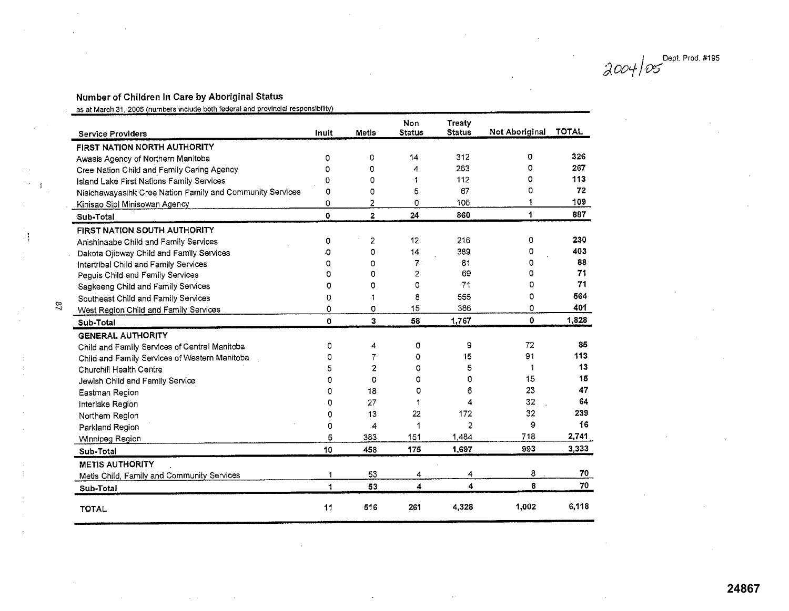Dept. Prod. #195 *aoo*~

## Number of Children In Care by Aboriginal Status

as at March 31, 2005 (numbers include both federal and provincial responsibility)

|   | <b>Service Providers</b>                                  | Inuit    | <b>Metis</b>   | <b>Non</b><br><b>Status</b> | Treaty<br><b>Status</b> | Not Aboriginal | <b>TOTAL</b> |
|---|-----------------------------------------------------------|----------|----------------|-----------------------------|-------------------------|----------------|--------------|
|   | FIRST NATION NORTH AUTHORITY                              |          |                |                             |                         |                |              |
|   | Awasis Agency of Northern Manitoba                        | 0        | $\mathbf 0$    | 14                          | 312                     | 0              | 326          |
|   | Cree Nation Child and Family Caring Agency                | 0        | 0              | 4                           | 263                     | 0              | 267          |
|   | Island Lake First Nations Family Services                 | 0        | 0              | 1                           | 112                     | 0              | 113          |
|   | Nisichawayasihk Cree Nation Family and Community Services | 0        | 0              | 5                           | 67                      | 0              | 72           |
|   | Kinisao Sipi Minisowan Agency                             | 0        | 2              | 0                           | 106                     |                | 109          |
|   | Sub-Total                                                 | 0        | $\mathbf{2}$   | 24                          | 860                     | 1              | 887          |
|   | FIRST NATION SOUTH AUTHORITY                              |          |                |                             |                         |                |              |
|   | Anishinaabe Child and Family Services                     | 0        | 2              | 12                          | 216                     | 0              | 230          |
|   | Dakota Ojibway Child and Family Services                  | ٠O       | 0              | 14                          | 389                     | 0              | 403          |
|   | Intertribal Child and Family Services                     | 0        | 0              | $\overline{7}$              | 81                      | 0              | 88           |
|   | Peguis Child and Family Services                          | 0        | 0              | $\overline{2}$              | 69                      | 0              | 71           |
|   | Sagkeeng Child and Family Services                        | o        | 0              | 0                           | 71                      | 0              | 71           |
|   | Southeast Child and Family Services                       | 0        | 1              | 8                           | 555                     | 0              | 564          |
| ಇ | West Region Child and Family Services                     | O        | 0              | 15                          | 386                     | o              | 401          |
|   | Sub-Total                                                 | 0        | 3              | 58                          | 1,767                   | 0              | 1,828        |
|   | <b>GENERAL AUTHORITY</b>                                  |          |                |                             |                         |                |              |
|   | Child and Family Services of Central Manitoba             | 0        | 4              | 0                           | 9                       | 72             | 85           |
|   | Child and Family Services of Western Manitoba             | 0        | $\overline{7}$ | 0                           | 15                      | 91             | 113          |
|   | Churchill Health Centre                                   | 5        | $\overline{c}$ | 0                           | 5                       | 1              | 13           |
|   | Jewish Child and Family Service                           | 0        | 0              | 0                           | o                       | 15             | 15           |
|   | Eastman Region                                            | $\Omega$ | 18             | 0                           | 6                       | 23             | 47           |
|   | Interlake Region                                          | $\Omega$ | 27             | 1                           | 4                       | 32             | 64           |
|   | Northern Region                                           | $\Omega$ | 13             | 22                          | 172                     | 32             | 239          |
|   | Parkland Region                                           | 0        | 4              | 1                           | $\overline{2}$          | 9              | 16           |
|   | Winnipeg Region                                           | 5        | 383            | 151                         | 1,484                   | 718            | 2,741        |
|   | Sub-Total                                                 | 10       | 458            | 175                         | 1,697                   | 993            | 3,333        |
|   | <b>METIS AUTHORITY</b>                                    |          |                |                             |                         |                |              |
|   | Metis Child, Family and Community Services                | 1        | 53             | 4                           | 4                       | 8              | 70           |
|   | Sub-Total                                                 | 1        | 53             | 4                           | 4                       | 8              | 70           |
|   | <b>TOTAL</b>                                              | 11       | 516            | 261                         | 4,328                   | 1,002          | 6,118        |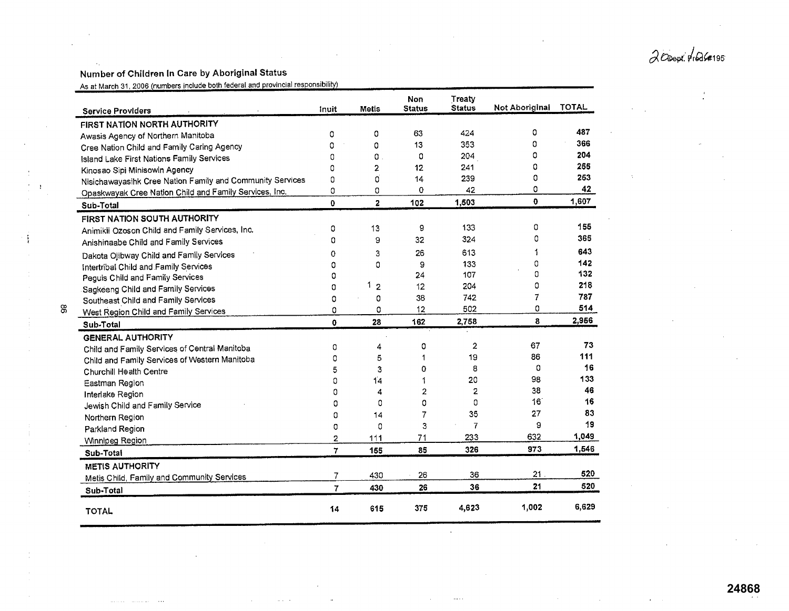$2$ Obept: prods#195

Î,

#### Number of Children In Care by Aboriginal Status

<u>ස</u>

 $\mathbf{r}$ 

 $\frac{1}{2}$ 

 $\begin{array}{c} \frac{1}{2} \\ \frac{1}{2} \end{array}$ 

 $\mathbb{C}$ 

As at March 31, 2006 (numbers include both federal and provincial responsibility)

|    | <b>Service Providers</b>                                  | inuit        | Metis               | Non<br><b>Status</b> | Treaty<br><b>Status</b> | Not Aboriginal | <b>TOTAL</b> |
|----|-----------------------------------------------------------|--------------|---------------------|----------------------|-------------------------|----------------|--------------|
|    | FIRST NATION NORTH AUTHORITY                              |              |                     |                      |                         |                |              |
|    | Awasis Agency of Northern Manitoba                        | 0            | 0                   | 63                   | 424                     | 0              | 487          |
|    | Cree Nation Child and Family Caring Agency                | 0            | 0                   | 13                   | 353                     | 0              | 366          |
|    | Island Lake First Nations Family Services                 | ٥            | 0                   | 0                    | 204                     | 0              | 204          |
|    | Kinosao Sipi Minisowin Agency                             | 0            | $\overline{2}$      | 12                   | 241                     | ٥              | 255          |
|    | Nisichawayasihk Cree Nation Family and Community Services | 0            | O                   | 14                   | 239                     | 0              | 253          |
|    | Opaskwayak Cree Nation Child and Family Services, Inc.    | 0            | 0                   | 0                    | 42                      | 0              | 42           |
|    | Sub-Total                                                 | Ō            | $\overline{2}$      | 102                  | 1,503                   | 0              | 1,607        |
|    | <b>FIRST NATION SOUTH AUTHORITY</b>                       |              |                     |                      |                         |                |              |
|    | Animikii Ozoson Child and Family Services, Inc.           | 0            | 13                  | 9                    | 133                     | 0              | 155          |
|    | Anishinaabe Child and Family Services                     | $\Omega$     | 9                   | 32                   | 324                     | 0              | 365          |
|    | Dakota Ojibway Child and Family Services                  | o            | 3                   | 26                   | 613                     |                | 643          |
|    | Intertribal Child and Family Services                     | 0            | 0                   | 9                    | 133                     | 0              | 142          |
|    | Peguis Child and Family Services                          | 0            |                     | 24                   | 107                     | 0              | 132          |
|    | Sagkeeng Child and Family Services                        | 0            | 1<br>$\overline{2}$ | 12                   | 204                     | 0              | 218          |
|    | Southeast Child and Family Services                       | 0            | 0                   | 38                   | 742                     | 7              | 787          |
| æ, | West Region Child and Family Services                     | 0            | 0                   | 12                   | 502                     | 0              | 514          |
|    | Sub-Total                                                 | $\mathbf{0}$ | 28                  | 162                  | 2,758                   | 8              | 2,956        |
|    | <b>GENERAL AUTHORITY</b>                                  |              |                     |                      |                         |                |              |
|    | Child and Family Services of Central Manitoba             | 0            | 4                   | 0                    | 2                       | 67             | 73           |
|    | Child and Family Services of Western Manitoba             | 0            | 5                   |                      | 19                      | 86             | 111          |
|    | Churchill Health Centre                                   | 5            | 3                   | 0                    | 8                       | 0              | 16           |
|    | Eastman Region                                            | 0            | 14                  |                      | 20                      | 98             | 133          |
|    | Interlake Region                                          | 0            | 4                   | $\overline{2}$       | 2                       | 38             | 46           |
|    | Jewish Child and Family Service                           | 0            | 0                   | 0                    | 0                       | 16             | 16           |
|    | Northern Region                                           | 0            | 14                  | 7                    | 35                      | 27             | 83           |
|    | Parkland Region                                           | 0            | 0                   | 3                    | $\overline{7}$          | 9              | 19           |
|    | Winnipeg Region                                           | 2            | 111                 | 71                   | 233                     | 632            | 1,049        |
|    | Sub-Total                                                 | 7            | 155                 | 85                   | 326                     | 973            | 1,546        |
|    | <b>METIS AUTHORITY</b>                                    |              |                     |                      |                         |                |              |
|    | Metis Child, Family and Community Services                | 7            | 430                 | 26                   | 36                      | 21             | 520          |
|    | Sub-Total                                                 | 7            | 430                 | 26                   | 36                      | 21             | 520          |
|    | <b>TOTAL</b>                                              | 14           | 615                 | 375                  | 4,623                   | 1,002          | 6,629        |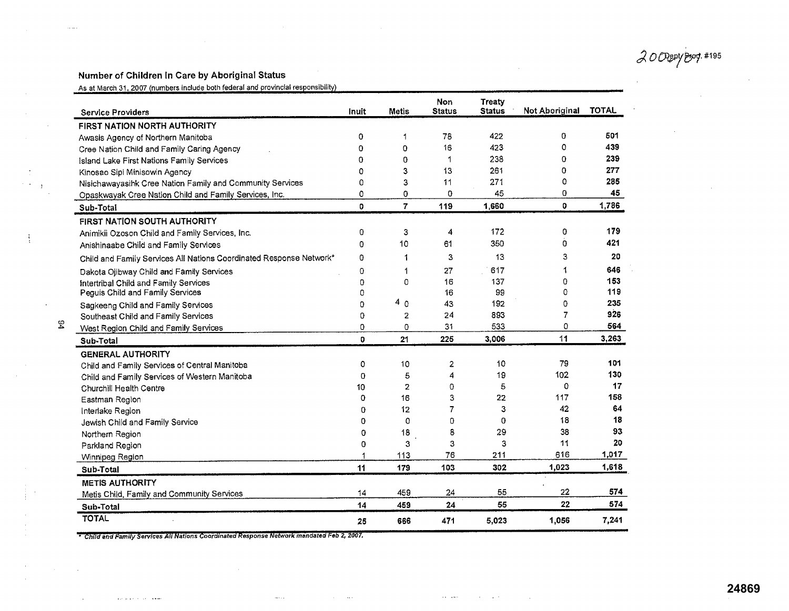$20$ *Ogepy Boop.#195* 

## **Number of Children In Care by Aboriginal Status**

 $1.111$ 

÷,

54

 $\frac{1}{2}$ 

 $\bar{\beta}$ 

As at March 31, 2007 (numbers include both federal and provincial responsibility)

| <b>Service Providers</b>                                            | Inuit       | Metis          | Non<br><b>Status</b> | <b>Treaty</b><br><b>Status</b> | Not Aboriginal | <b>TOTAL</b> |
|---------------------------------------------------------------------|-------------|----------------|----------------------|--------------------------------|----------------|--------------|
| FIRST NATION NORTH AUTHORITY                                        |             |                |                      |                                |                |              |
| Awasis Agency of Northern Manitoba                                  | 0           | 1              | 78                   | 422                            | 0              | 501          |
| Cree Nation Child and Family Caring Agency                          | Ω           | 0              | 16                   | 423                            | 0              | 439          |
| Island Lake First Nations Family Services                           | 0           | 0              | 1                    | 238                            | 0              | 239          |
| Kinosao Sipi Minisowin Agency                                       | 0           | 3              | 13                   | 261                            | 0              | 277          |
| Nisichawayasihk Cree Nation Family and Community Services           | 0           | 3              | 11                   | 271                            | 0              | 285          |
| Opaskwayak Cree Nation Child and Family Services, Inc.              | 0           | 0              | 0                    | 45                             | 0              | 45           |
| Sub-Total                                                           | o           | $\overline{7}$ | 119                  | 1.660                          | $\mathbf{O}$   | 1,786        |
| <b>FIRST NATION SOUTH AUTHORITY</b>                                 |             |                |                      |                                |                |              |
| Animikii Ozoson Child and Family Services, Inc.                     | 0           | 3              | 4                    | 172                            | 0              | 179          |
| Anishinaabe Child and Family Services                               | 0           | 10             | 61                   | 350                            | 0              | 421          |
| Child and Family Services All Nations Coordinated Response Network* | o           | 1              | 3                    | 13                             | 3              | 20           |
| Dakota Ojibway Child and Family Services                            | $\mathbf 0$ | 1              | 27                   | 617                            | 1              | 646          |
| Intertribal Child and Family Services                               | 0           | 0              | 16                   | 137                            | 0              | 153          |
| Peguis Child and Family Services                                    | 0           |                | 16                   | 99                             | 0              | 119          |
| Sagkeeng Child and Family Services                                  | 0           | 40             | 43                   | 192                            | 0              | 235          |
| Southeast Child and Family Services                                 | 0           | 2              | 24                   | 893                            | 7              | 926          |
| West Region Child and Family Services                               | 0           | 0              | 31                   | 533                            | 0              | 564          |
| Sub-Total                                                           | 0           | 21             | 225                  | 3,006                          | 11             | 3,263        |
| <b>GENERAL AUTHORITY</b>                                            |             |                |                      |                                |                |              |
| Child and Family Services of Central Manitoba                       | 0           | 10             | 2                    | 10                             | 79             | 101          |
| Child and Family Services of Western Manitoba                       | 0           | 5              | 4                    | 19                             | 102            | 130          |
| Churchill Health Centre                                             | 10          | 2              | 0                    | 5                              | 0              | 17           |
| Eastman Region                                                      | 0           | 16             | 3                    | 22                             | 117            | 158          |
| Interlake Region                                                    | 0           | 12             | 7                    | 3                              | 42             | 64           |
| Jewish Child and Family Service                                     | 0           | 0              | 0                    | 0                              | 18             | 18           |
| Northern Region                                                     | 0           | 18             | 8                    | 29                             | 38             | 93           |
| Parkland Region                                                     | 0           | 3              | 3                    | 3                              | 11             | 20           |
| Winnipeg Region                                                     |             | 113            | 76                   | 211                            | 616            | 1,017        |
| Sub-Total                                                           | 11          | 179            | 103                  | 302                            | 1,023          | 1,618        |
| <b>METIS AUTHORITY</b>                                              |             |                |                      |                                |                |              |
| Metis Child, Family and Community Services                          | 14          | 459            | 24                   | 55                             | 22             | 574          |
| Sub-Total                                                           | 14          | 459            | 24                   | 55                             | 22             | 574          |
| <b>TOTAL</b>                                                        | 25          | 666            | 471                  | 5,023                          | 1,056          | 7,241        |

**Committee** 

 $\Delta\sim 10^7$ 

 $\mathcal{A}$  and  $\mathcal{A}$  are  $\mathcal{A}$  . The set of  $\mathcal{A}$  and  $\mathcal{A}$ 

*Childand Family Services All ations Coordinated Response Nelwork msndsted Feb2, 2007.* 

متحد المدادة والمتحدث

 $\sim$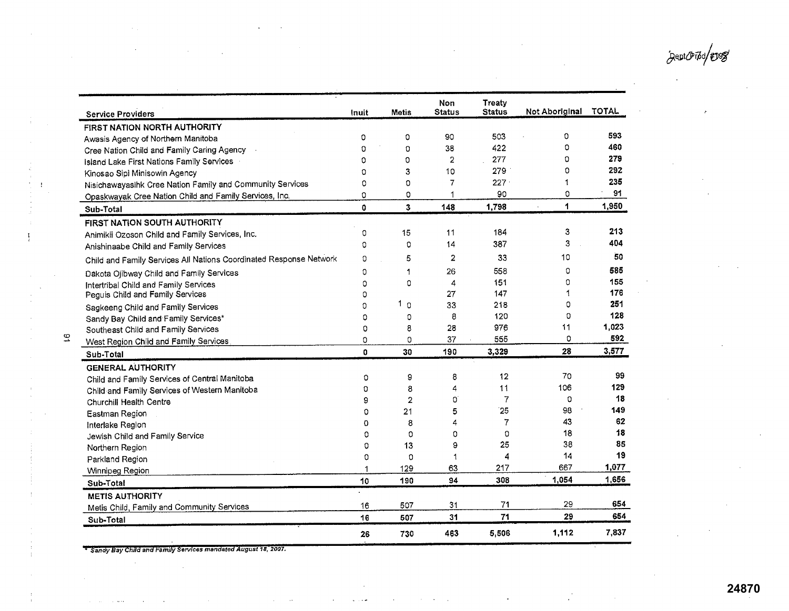~egt&rr d/;j

 $\cdot$ 

| <b>Service Providers</b>                                           | Inuit    | Metis          | Non<br><b>Status</b> | <b>Treaty</b><br><b>Status</b> | Not Aboriginal | <b>TOTAL</b> |
|--------------------------------------------------------------------|----------|----------------|----------------------|--------------------------------|----------------|--------------|
| FIRST NATION NORTH AUTHORITY                                       |          |                |                      |                                |                |              |
| Awasis Agency of Northern Manitoba                                 | 0        | 0              | 90                   | 503                            | 0              | 593          |
| Cree Nation Child and Family Caring Agency                         | $\Omega$ | 0              | 38                   | 422                            | 0              | 460          |
| Island Lake First Nations Family Services                          | 0        | 0              | 2                    | 277                            | O              | 279          |
| Kinosao Sipi Minisowin Agency                                      | 0        | 3              | 10                   | 279                            | 0              | 292          |
| Nisichawayasihk Cree Nation Family and Community Services          | 0        | 0              | 7                    | 227                            | 1              | 235          |
| Opaskwayak Cree Nation Child and Family Services, Inc.             | 0        | 0              | 1                    | 90                             | 0              | 91           |
| Sub-Total                                                          | Ō        | 3              | 148                  | 1,798                          | 1              | 1,950        |
| FIRST NATION SOUTH AUTHORITY                                       |          |                |                      |                                |                |              |
| Animikii Ozoson Child and Family Services, Inc.                    | O        | 15             | 11                   | 184                            | 3              | 213          |
| Anishinaabe Child and Family Services                              | 0        | 0              | 14                   | 387                            | 3              | 404          |
| Child and Family Services All Nations Coordinated Response Network | 0        | 5              | $\overline{2}$       | 33                             | 10             | 50           |
| Dakota Ojibway Child and Family Services                           | 0        | 1              | 26                   | 558                            | 0              | 585          |
| Intertribal Child and Family Services                              | 0        | 0              | 4                    | 151                            | 0              | 155          |
| Peguis Child and Family Services                                   | O        |                | 27                   | 147                            | 1              | 176          |
| Sagkeeng Child and Family Services                                 | 0        | 1.<br>$\Omega$ | 33                   | 218                            | 0              | 251          |
| Sandy Bay Child and Family Services*                               | O        | 0              | 8                    | 120                            | 0              | 128          |
| Southeast Child and Family Services                                | 0        | 8              | 28                   | 976                            | 11             | 1,023        |
| West Region Child and Family Services                              | O        | O              | 37                   | 555                            | 0              | 592          |
| Sub-Total                                                          | $\Omega$ | 30             | 190                  | 3,329                          | 28             | 3,577        |
| <b>GENERAL AUTHORITY</b>                                           |          |                |                      |                                |                |              |
| Child and Family Services of Central Manitoba                      | 0        | 9              | 8                    | 12                             | 70             | 99           |
| Child and Family Services of Western Manitoba                      | O        | 8              | 4                    | 11                             | 106            | 129          |
| Churchill Health Centre                                            | 9        | $\overline{2}$ | O                    | 7                              | 0              | 18           |
| Eastman Region                                                     | 0        | 21             | 5                    | 25                             | 98             | 149          |
| Interlake Region                                                   | 0        | 8              | 4                    | 7                              | 43             | 62           |
| Jewish Child and Family Service                                    | 0        | 0              | Ω                    | $\Omega$                       | 18             | 18           |
| Northern Region                                                    | 0        | 13             | 9                    | 25                             | 38             | 85           |
| Parkland Region                                                    | 0        | 0              | 1                    | 4                              | 14             | 19           |
| Winnipeg Region                                                    |          | 129            | 63                   | 217                            | 667            | 1.077        |
| Sub-Total                                                          | 10       | 190            | 94                   | 308                            | 1,054          | 1,656        |
| <b>METIS AUTHORITY</b>                                             |          |                |                      |                                |                |              |
| Metis Child, Family and Community Services                         | 16       | 507            | 31                   | 71                             | 29             | 654          |
| Sub-Total                                                          | 16       | 507            | 31                   | 71                             | 29             | 654          |
|                                                                    | 26       | 730            | 463                  | 5,506                          | 1,112          | 7,837        |

<sup>+</sup> Sandy Bay Child and Family Services mandated August 18, 2007.

 $\mathcal{L}^{\pm}$ 

 $\frac{1}{2}$ 

 $\bar{z}$  $\bar{\bar{z}}$ 

> $\bar{z}$  $\sim$

 $\overline{5}$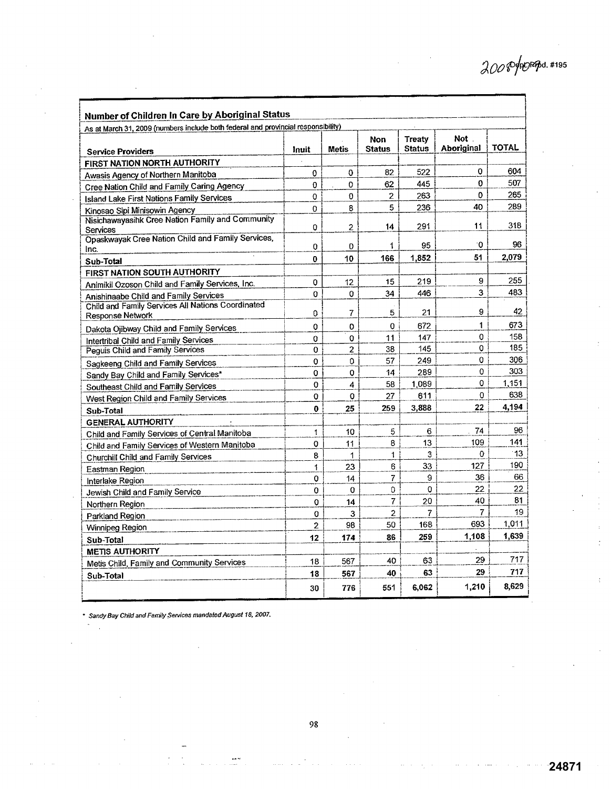**24871**

| Number of Children In Care by Aboriginal Status                                   |       |                |                |                |            |              |  |  |  |
|-----------------------------------------------------------------------------------|-------|----------------|----------------|----------------|------------|--------------|--|--|--|
| As at March 31, 2009 (numbers include both federal and provincial responsibility) |       |                |                |                |            |              |  |  |  |
|                                                                                   |       |                | <b>Non</b>     | Treatv         | Not.       |              |  |  |  |
| <b>Service Providers</b>                                                          | Inuit | <b>Metis</b>   | <b>Status</b>  | <b>Status</b>  | Aboriginal | <b>TOTAL</b> |  |  |  |
| FIRST NATION NORTH AUTHORITY                                                      |       |                |                |                |            |              |  |  |  |
| Awasis Agency of Northern Manitoba                                                | 0     | 0              | 82             | 522            | 0          | 604          |  |  |  |
| Cree Nation Child and Family Caring Agency                                        | 0     | 0              | 62             | 445            | 0          | 507          |  |  |  |
| <b>Island Lake First Nations Family Services</b>                                  | 0     | 0              | $\overline{2}$ | 263            | 0          | 265          |  |  |  |
| Kinosao Sipi Minisowin Agency                                                     | Ō     | 8              | 5              | 236            | 40         | 289          |  |  |  |
| Nisichawayasihk Cree Nation Family and Community                                  | 0     | 2              | 14             | 291            | 11         | 318          |  |  |  |
| Services<br>Opaskwayak Cree Nation Child and Family Services,                     |       |                |                |                |            |              |  |  |  |
| Inc.                                                                              | 0     | O              | 1              | 95             | ۰0         | 96           |  |  |  |
| Sub-Total                                                                         | 0     | 10             | 166            | 1.852          | 51         | 2,079        |  |  |  |
| FIRST NATION SOUTH AUTHORITY                                                      |       |                |                |                |            |              |  |  |  |
| Animikii Ozoson Child and Family Services, Inc.                                   | 0     | 12             | 15             | 219            | 9          | 255          |  |  |  |
| Anishinaabe Child and Family Services                                             | 0     | 0              | 34             | 446            | 3          | 483          |  |  |  |
| Child and Family Services All Nations Coordinated                                 |       |                |                |                |            |              |  |  |  |
| Response Network                                                                  | 0     | 7              | 5              | 21             | 9          | 42           |  |  |  |
| Dakota Ojibway Child and Family Services                                          | 0     | O              | 0              | 672            | 1          | 673          |  |  |  |
| Intertribal Child and Family Services                                             | 0     | 0              | 11             | 147            | 0          | 158          |  |  |  |
| Peguis Child and Family Services                                                  | 0     | $\overline{2}$ | 38             | 145            | 0          | 185          |  |  |  |
| Sagkeeng Child and Family Services                                                | 0     | 0              | 57             | 249            | 0          | 306          |  |  |  |
| Sandy Bay Child and Family Services*                                              | 0     | 0              | 14             | 289            | 0          | 303          |  |  |  |
| Southeast Child and Family Services                                               | 0     | 4              | 58             | 1,089          | 0          | 1,151        |  |  |  |
| West Region Child and Family Services                                             | 0     | 0              | 27             | 611            | 0          | 638          |  |  |  |
| Sub-Total                                                                         | 0     | 25             | 259            | 3,888          | 22         | 4,194        |  |  |  |
| <b>GENERAL AUTHORITY</b>                                                          |       |                |                |                |            |              |  |  |  |
| Child and Family Services of Central Manitoba                                     | 1     | 10             | 5              | 6              | 74         | 96           |  |  |  |
| Child and Family Services of Western Manitoba                                     | 0     | 11             | 8              | 13             | 109        | 141          |  |  |  |
| Churchill Child and Family Services                                               | 8     | 1              | 1              | 3              | 0          | 13           |  |  |  |
| Eastman Region                                                                    | 1     | 23             | 6              | 33             | 127        | 190          |  |  |  |
| Interlake Region                                                                  | 0     | 14             | $\overline{7}$ | 9              | 36         | 66           |  |  |  |
| Jewish Child and Family Service                                                   | 0     | 0              | 0              | 0              | 22         | 22           |  |  |  |
| Northern Region                                                                   | 0     | 14             | 7              | 20             | 40         | 81           |  |  |  |
| Parkland Region                                                                   | 0     | 3              | $\overline{2}$ | $\overline{7}$ | 7          | 19           |  |  |  |
| Winnipeg Region                                                                   | 2     | 98             | 50             | 168            | 693        | 1,011        |  |  |  |
| Sub-Total                                                                         | 12    | 174            | 86             | 259            | 1,108      | 1,639        |  |  |  |
| <b>METIS AUTHORITY</b>                                                            |       |                |                |                |            |              |  |  |  |
| Metis Child, Family and Community Services                                        | 18    | 567            | 40             | 63             | 29         | 717          |  |  |  |
| Sub-Total                                                                         | 18    | 567            | 40             | 63             | 29         | 717          |  |  |  |
|                                                                                   | 30    | 776            | 551            | 6,062          | 1,210      | 8,629        |  |  |  |

*Sandy Bay Child and Family Services mandated* August 18, 2007.